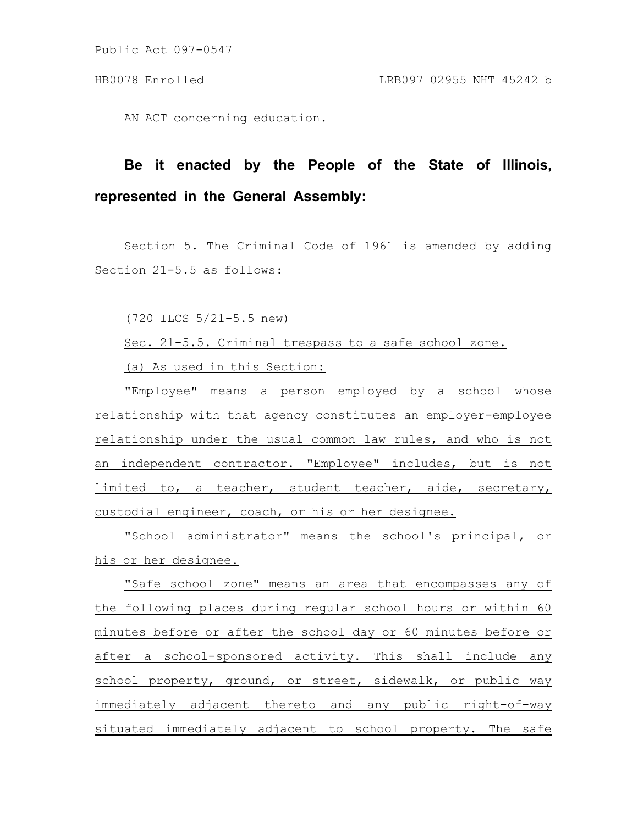Public Act 097-0547

AN ACT concerning education.

## **Be it enacted by the People of the State of Illinois, represented in the General Assembly:**

Section 5. The Criminal Code of 1961 is amended by adding Section 21-5.5 as follows:

(720 ILCS 5/21-5.5 new)

Sec. 21-5.5. Criminal trespass to a safe school zone.

(a) As used in this Section:

"Employee" means a person employed by a school whose relationship with that agency constitutes an employer-employee relationship under the usual common law rules, and who is not an independent contractor. "Employee" includes, but is not limited to, a teacher, student teacher, aide, secretary, custodial engineer, coach, or his or her designee.

"School administrator" means the school's principal, or his or her designee.

"Safe school zone" means an area that encompasses any of the following places during regular school hours or within 60 minutes before or after the school day or 60 minutes before or after a school-sponsored activity. This shall include any school property, ground, or street, sidewalk, or public way immediately adjacent thereto and any public right-of-way situated immediately adjacent to school property. The safe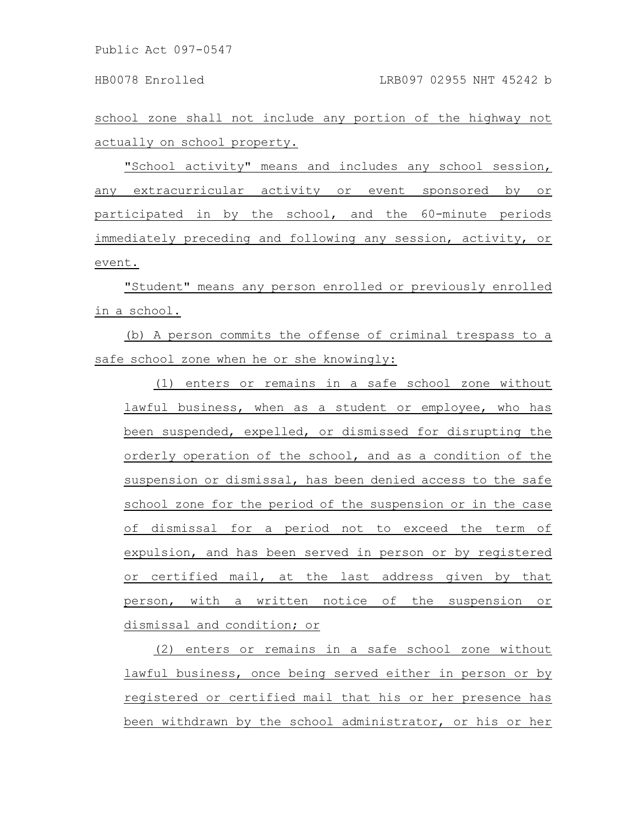school zone shall not include any portion of the highway not actually on school property.

"School activity" means and includes any school session, any extracurricular activity or event sponsored by or participated in by the school, and the 60-minute periods immediately preceding and following any session, activity, or event.

"Student" means any person enrolled or previously enrolled in a school.

(b) A person commits the offense of criminal trespass to a safe school zone when he or she knowingly:

(1) enters or remains in a safe school zone without lawful business, when as a student or employee, who has been suspended, expelled, or dismissed for disrupting the orderly operation of the school, and as a condition of the suspension or dismissal, has been denied access to the safe school zone for the period of the suspension or in the case of dismissal for a period not to exceed the term of expulsion, and has been served in person or by registered or certified mail, at the last address given by that person, with a written notice of the suspension or dismissal and condition; or

(2) enters or remains in a safe school zone without lawful business, once being served either in person or by registered or certified mail that his or her presence has been withdrawn by the school administrator, or his or her